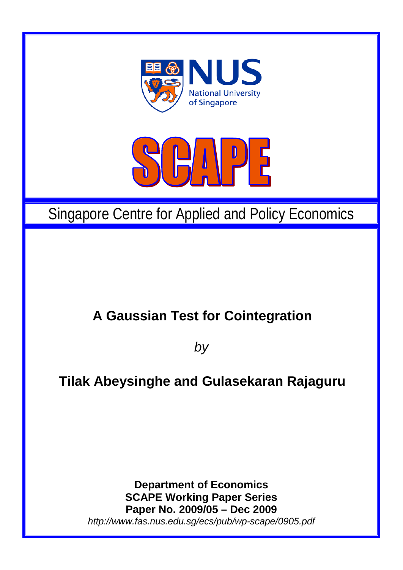



# Singapore Centre for Applied and Policy Economics

## **A Gaussian Test for Cointegration**

*by*

## **Tilak Abeysinghe and Gulasekaran Rajaguru**

**Department of Economics SCAPE Working Paper Series Paper No. 2009/05 – Dec 2009** *http://www.fas.nus.edu.sg/ecs/pub/wp-scape/0905.pdf*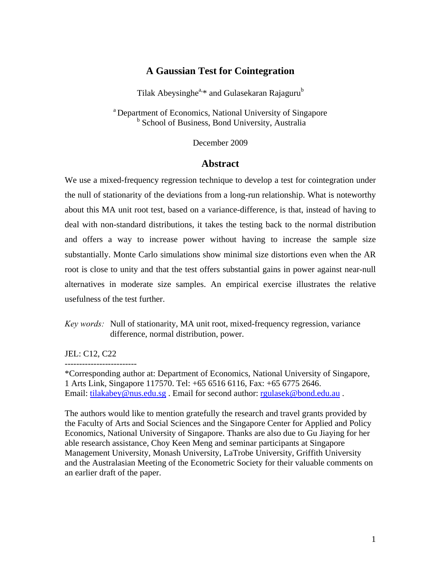## **A Gaussian Test for Cointegration**

Tilak Abeysinghe<sup>a,\*</sup> and Gulasekaran Rajaguru<sup>b</sup>

a Department of Economics, National University of Singapore **b** School of Business, Bond University, Australia

December 2009

### **Abstract**

We use a mixed-frequency regression technique to develop a test for cointegration under the null of stationarity of the deviations from a long-run relationship. What is noteworthy about this MA unit root test, based on a variance-difference, is that, instead of having to deal with non-standard distributions, it takes the testing back to the normal distribution and offers a way to increase power without having to increase the sample size substantially. Monte Carlo simulations show minimal size distortions even when the AR root is close to unity and that the test offers substantial gains in power against near-null alternatives in moderate size samples. An empirical exercise illustrates the relative usefulness of the test further.

*Key words:* Null of stationarity, MA unit root, mixed-frequency regression, variance difference, normal distribution, power.

JEL: C12, C22

-------------------------

\*Corresponding author at: Department of Economics, National University of Singapore, 1 Arts Link, Singapore 117570. Tel: +65 6516 6116, Fax: +65 6775 2646. Email: tilakabey@nus.edu.sg. Email for second author: [rgulasek@bond.edu.au](mailto:rgulasek@bond.edu.au).

The authors would like to mention gratefully the research and travel grants provided by the Faculty of Arts and Social Sciences and the Singapore Center for Applied and Policy Economics, National University of Singapore. Thanks are also due to Gu Jiaying for her able research assistance, Choy Keen Meng and seminar participants at Singapore Management University, Monash University, LaTrobe University, Griffith University and the Australasian Meeting of the Econometric Society for their valuable comments on an earlier draft of the paper.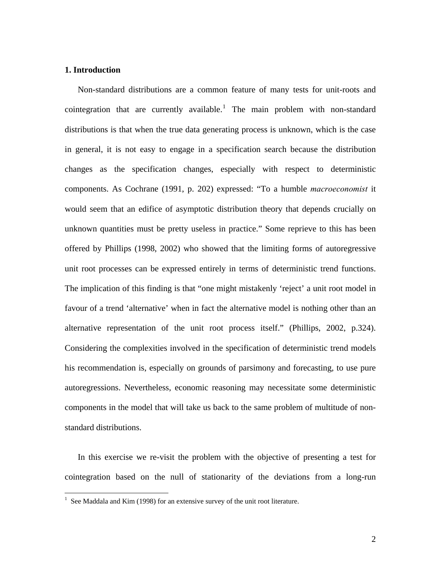#### **1. Introduction**

 Non-standard distributions are a common feature of many tests for unit-roots and cointegration that are currently available.<sup>[1](#page-2-0)</sup> The main problem with non-standard distributions is that when the true data generating process is unknown, which is the case in general, it is not easy to engage in a specification search because the distribution changes as the specification changes, especially with respect to deterministic components. As Cochrane (1991, p. 202) expressed: "To a humble *macroeconomist* it would seem that an edifice of asymptotic distribution theory that depends crucially on unknown quantities must be pretty useless in practice." Some reprieve to this has been offered by Phillips (1998, 2002) who showed that the limiting forms of autoregressive unit root processes can be expressed entirely in terms of deterministic trend functions. The implication of this finding is that "one might mistakenly 'reject' a unit root model in favour of a trend 'alternative' when in fact the alternative model is nothing other than an alternative representation of the unit root process itself." (Phillips, 2002, p.324). Considering the complexities involved in the specification of deterministic trend models his recommendation is, especially on grounds of parsimony and forecasting, to use pure autoregressions. Nevertheless, economic reasoning may necessitate some deterministic components in the model that will take us back to the same problem of multitude of nonstandard distributions.

 In this exercise we re-visit the problem with the objective of presenting a test for cointegration based on the null of stationarity of the deviations from a long-run

<span id="page-2-0"></span><sup>&</sup>lt;sup>1</sup> See Maddala and Kim (1998) for an extensive survey of the unit root literature.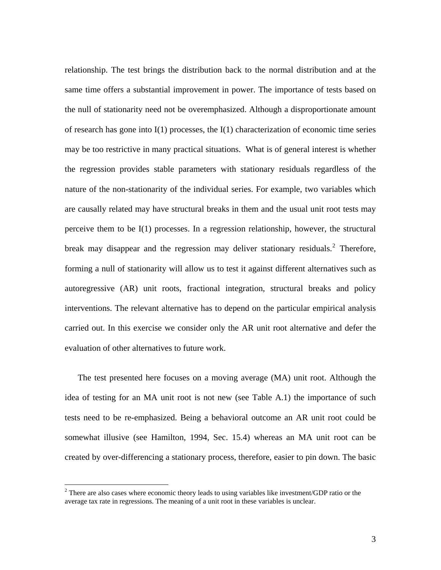<span id="page-3-0"></span>relationship. The test brings the distribution back to the normal distribution and at the same time offers a substantial improvement in power. The importance of tests based on the null of stationarity need not be overemphasized. Although a disproportionate amount of research has gone into  $I(1)$  processes, the  $I(1)$  characterization of economic time series may be too restrictive in many practical situations. What is of general interest is whether the regression provides stable parameters with stationary residuals regardless of the nature of the non-stationarity of the individual series. For example, two variables which are causally related may have structural breaks in them and the usual unit root tests may perceive them to be I(1) processes. In a regression relationship, however, the structural break may disappear and the regression may deliver stationary residuals.<sup>[2](#page-3-0)</sup> Therefore, forming a null of stationarity will allow us to test it against different alternatives such as autoregressive (AR) unit roots, fractional integration, structural breaks and policy interventions. The relevant alternative has to depend on the particular empirical analysis carried out. In this exercise we consider only the AR unit root alternative and defer the evaluation of other alternatives to future work.

 The test presented here focuses on a moving average (MA) unit root. Although the idea of testing for an MA unit root is not new (see Table A.1) the importance of such tests need to be re-emphasized. Being a behavioral outcome an AR unit root could be somewhat illusive (see Hamilton, 1994, Sec. 15.4) whereas an MA unit root can be created by over-differencing a stationary process, therefore, easier to pin down. The basic

 $\overline{a}$ 

 $2^2$  There are also cases where economic theory leads to using variables like investment/GDP ratio or the average tax rate in regressions. The meaning of a unit root in these variables is unclear.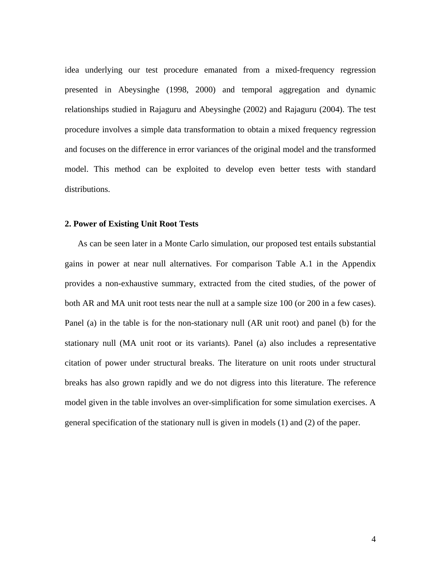idea underlying our test procedure emanated from a mixed-frequency regression presented in Abeysinghe (1998, 2000) and temporal aggregation and dynamic relationships studied in Rajaguru and Abeysinghe (2002) and Rajaguru (2004). The test procedure involves a simple data transformation to obtain a mixed frequency regression and focuses on the difference in error variances of the original model and the transformed model. This method can be exploited to develop even better tests with standard distributions.

#### **2. Power of Existing Unit Root Tests**

 As can be seen later in a Monte Carlo simulation, our proposed test entails substantial gains in power at near null alternatives. For comparison Table A.1 in the Appendix provides a non-exhaustive summary, extracted from the cited studies, of the power of both AR and MA unit root tests near the null at a sample size 100 (or 200 in a few cases). Panel (a) in the table is for the non-stationary null (AR unit root) and panel (b) for the stationary null (MA unit root or its variants). Panel (a) also includes a representative citation of power under structural breaks. The literature on unit roots under structural breaks has also grown rapidly and we do not digress into this literature. The reference model given in the table involves an over-simplification for some simulation exercises. A general specification of the stationary null is given in models (1) and (2) of the paper.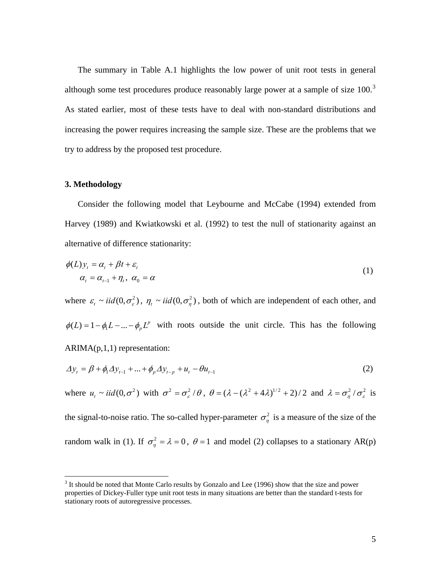<span id="page-5-0"></span> The summary in Table A.1 highlights the low power of unit root tests in general although some test procedures produce reasonably large power at a sample of size 100.<sup>[3](#page-5-0)</sup> As stated earlier, most of these tests have to deal with non-standard distributions and increasing the power requires increasing the sample size. These are the problems that we try to address by the proposed test procedure.

#### **3. Methodology**

 Consider the following model that Leybourne and McCabe (1994) extended from Harvey (1989) and Kwiatkowski et al. (1992) to test the null of stationarity against an alternative of difference stationarity:

$$
\phi(L)y_t = \alpha_t + \beta t + \varepsilon_t
$$
  
\n
$$
\alpha_t = \alpha_{t-1} + \eta_t, \ \alpha_0 = \alpha
$$
\n(1)

where  $\varepsilon_t \sim \text{iid}(0, \sigma_\varepsilon^2)$ ,  $\eta_t \sim \text{iid}(0, \sigma_\eta^2)$ , both of which are independent of each other, and  $\phi(L) = 1 - \phi_1 L - ... - \phi_p L^p$  with roots outside the unit circle. This has the following ARIMA(p,1,1) representation:

$$
\Delta y_t = \beta + \phi_1 \Delta y_{t-1} + ... + \phi_p \Delta y_{t-p} + u_t - \theta u_{t-1}
$$
\n(2)

where  $u_t \sim \text{iid}(0, \sigma^2)$  with  $\sigma^2 = \sigma_\varepsilon^2/\theta$ ,  $\theta = (\lambda - (\lambda^2 + 4\lambda)^{1/2} + 2)/2$  and  $\lambda = \sigma_\eta^2/\sigma_\varepsilon^2$  is the signal-to-noise ratio. The so-called hyper-parameter  $\sigma_{\eta}^2$  is a measure of the size of the random walk in (1). If  $\sigma_{\eta}^2 = \lambda = 0$ ,  $\theta = 1$  and model (2) collapses to a stationary AR(p)

<sup>&</sup>lt;sup>3</sup> It should be noted that Monte Carlo results by Gonzalo and Lee (1996) show that the size and power properties of Dickey-Fuller type unit root tests in many situations are better than the standard t-tests for stationary roots of autoregressive processes.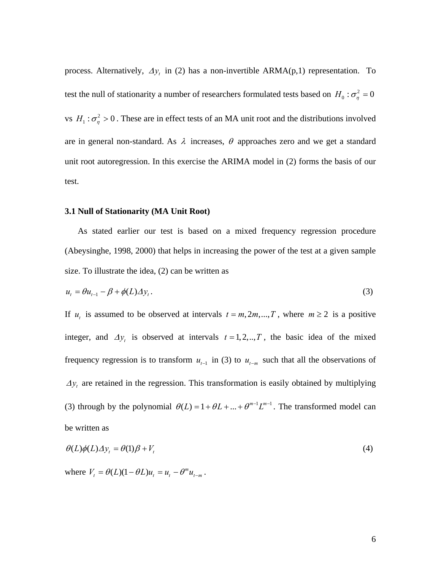process. Alternatively,  $\Delta y_t$  in (2) has a non-invertible ARMA(p,1) representation. To test the null of stationarity a number of researchers formulated tests based on  $H_0$ :  $\sigma_\eta^2 = 0$ vs  $H_1: \sigma_\eta^2 > 0$ . These are in effect tests of an MA unit root and the distributions involved are in general non-standard. As  $\lambda$  increases,  $\theta$  approaches zero and we get a standard unit root autoregression. In this exercise the ARIMA model in (2) forms the basis of our test.

#### **3.1 Null of Stationarity (MA Unit Root)**

 As stated earlier our test is based on a mixed frequency regression procedure (Abeysinghe, 1998, 2000) that helps in increasing the power of the test at a given sample size. To illustrate the idea, (2) can be written as

$$
u_t = \theta u_{t-1} - \beta + \phi(L) \Delta y_t. \tag{3}
$$

If  $u_t$  is assumed to be observed at intervals  $t = m, 2m, ..., T$ , where  $m \ge 2$  is a positive integer, and  $\Delta y_t$  is observed at intervals  $t = 1, 2, ..., T$ , the basic idea of the mixed frequency regression is to transform  $u_{t-1}$  in (3) to  $u_{t-m}$  such that all the observations of  $\Delta y_t$  are retained in the regression. This transformation is easily obtained by multiplying (3) through by the polynomial  $\theta(L) = 1 + \theta L + ... + \theta^{m-1} L^{m-1}$ . The transformed model can be written as

$$
\theta(L)\phi(L)\Delta y_t = \theta(1)\beta + V_t \tag{4}
$$

where  $V_{t} = \theta(L)(1 - \theta L)u_{t} = u_{t} - \theta^{m} u_{t-m}$ .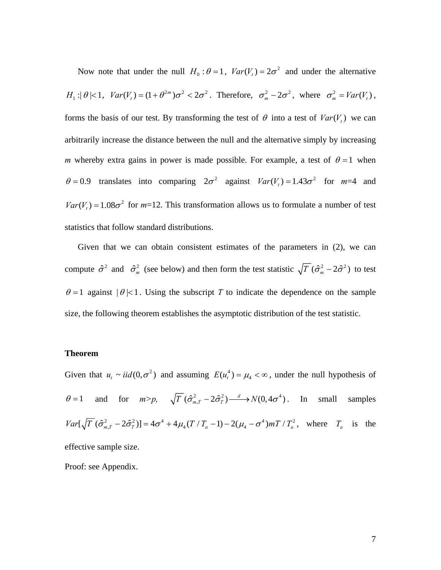Now note that under the null  $H_0$ :  $\theta = 1$ ,  $Var(V_t) = 2\sigma^2$  and under the alternative  $H_1$ : $|\theta| < 1$ ,  $Var(V_t) = (1 + \theta^{2m})\sigma^2 < 2\sigma^2$ . Therefore,  $\sigma_m^2 - 2\sigma^2$ , where  $\sigma_m^2 = Var(V_t)$ , forms the basis of our test. By transforming the test of  $\theta$  into a test of  $Var(V_t)$  we can arbitrarily increase the distance between the null and the alternative simply by increasing *m* whereby extra gains in power is made possible. For example, a test of  $\theta = 1$  when  $\theta = 0.9$  translates into comparing  $2\sigma^2$  against  $Var(V_t) = 1.43\sigma^2$  for  $m=4$  and  $Var(V_t) = 1.08\sigma^2$  for  $m=12$ . This transformation allows us to formulate a number of test statistics that follow standard distributions.

 Given that we can obtain consistent estimates of the parameters in (2), we can compute  $\hat{\sigma}^2$  and  $\hat{\sigma}_m^2$  (see below) and then form the test statistic  $\sqrt{T} (\hat{\sigma}_m^2 - 2\hat{\sigma}^2)$  to test  $\theta = 1$  against  $|\theta| < 1$ . Using the subscript *T* to indicate the dependence on the sample size, the following theorem establishes the asymptotic distribution of the test statistic.

#### **Theorem**

Given that  $u_t \sim \text{i}id(0, \sigma^2)$  and assuming  $E(u_t^4) = \mu_4 < \infty$ , under the null hypothesis of  $\theta = 1$  and for  $m > p$ ,  $\sqrt{T} (\hat{\sigma}_{m,T}^2 - 2\hat{\sigma}_T^2) \xrightarrow{d} N(0, 4\sigma^4)$ . In small samples  $Var[\sqrt{T} (\hat{\sigma}_{m,T}^2 - 2\hat{\sigma}_T^2)] = 4\sigma^4 + 4\mu_4 (T/T_a - 1) - 2(\mu_4 - \sigma^4) mT/T_a^2$ , where  $T_a$  is the effective sample size.

Proof: see Appendix.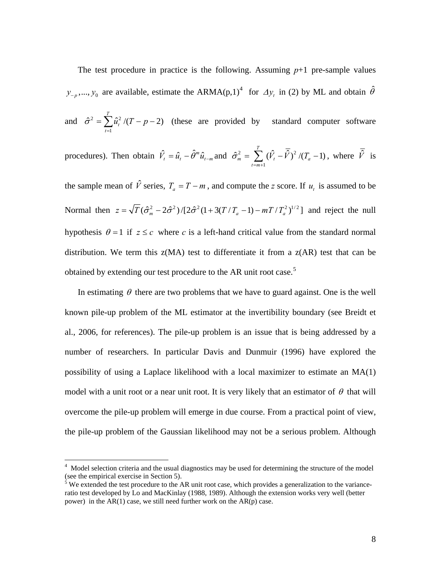<span id="page-8-0"></span>The test procedure in practice is the following. Assuming  $p+1$  pre-sample values  $y_{-p},..., y_0$  are available, estimate the ARMA(p,1)<sup>[4](#page-8-0)</sup> for  $\Delta y_t$  in (2) by ML and obtain  $\hat{\theta}$ 

and  $\hat{\sigma}^2 = \sum \hat{u}_t^2 / (T - p - 2)$  (these are provided by standard computer software 1  $\hat{\tau}^2 = \sum \hat{u}_t^2 / (T - p - 2)$ *T t t*  $\hat{u}^2$  /(T – p  $\hat{\sigma}^2 = \sum_{t=1} \hat{u}_t^2 / (T - p -$ 

procedures). Then obtain 
$$
\hat{V}_t = \hat{u}_t - \hat{\theta}^m \hat{u}_{t-m}
$$
 and  $\hat{\sigma}_m^2 = \sum_{t=m+1}^T (\hat{V}_t - \overline{\hat{V}})^2 / (T_a - 1)$ , where  $\overline{\hat{V}}$  is

the sample mean of  $\hat{V}$  series,  $T_a = T - m$ , and compute the *z* score. If  $u_t$  is assumed to be Normal then  $z = \sqrt{T}(\hat{\sigma}_m^2 - 2\hat{\sigma}^2)/[2\hat{\sigma}^2(1 + 3(T/T_a - 1) - mT/T_a^2)^{1/2}]$  and reject the null hypothesis  $\theta = 1$  if  $z \leq c$  where c is a left-hand critical value from the standard normal distribution. We term this  $z(MA)$  test to differentiate it from a  $z(AR)$  test that can be obtained by extending our test procedure to the AR unit root case.<sup>[5](#page-8-0)</sup>

In estimating  $\theta$  there are two problems that we have to guard against. One is the well known pile-up problem of the ML estimator at the invertibility boundary (see Breidt et al., 2006, for references). The pile-up problem is an issue that is being addressed by a number of researchers. In particular Davis and Dunmuir (1996) have explored the possibility of using a Laplace likelihood with a local maximizer to estimate an MA(1) model with a unit root or a near unit root. It is very likely that an estimator of  $\theta$  that will overcome the pile-up problem will emerge in due course. From a practical point of view, the pile-up problem of the Gaussian likelihood may not be a serious problem. Although

 4 Model selection criteria and the usual diagnostics may be used for determining the structure of the model (see the empirical exercise in Section 5).<br><sup>5</sup> We extended the test procedure to the AR unit root case, which provides a generalization to the variance-

ratio test developed by Lo and MacKinlay (1988, 1989). Although the extension works very well (better power) in the  $AR(1)$  case, we still need further work on the  $AR(p)$  case.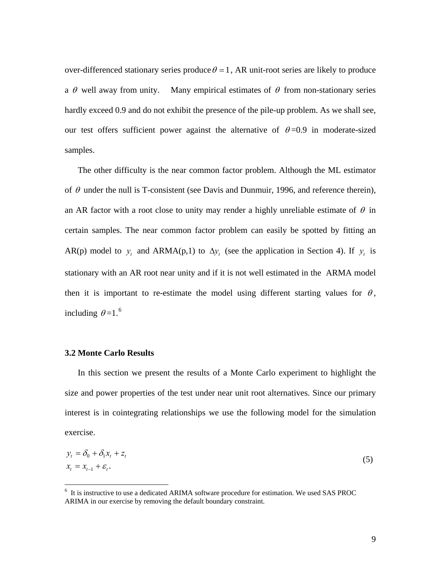<span id="page-9-0"></span>over-differenced stationary series produce  $\theta = 1$ , AR unit-root series are likely to produce a  $\theta$  well away from unity. Many empirical estimates of  $\theta$  from non-stationary series hardly exceed 0.9 and do not exhibit the presence of the pile-up problem. As we shall see, our test offers sufficient power against the alternative of  $\theta = 0.9$  in moderate-sized samples.

 The other difficulty is the near common factor problem. Although the ML estimator of  $\theta$  under the null is T-consistent (see Davis and Dunmuir, 1996, and reference therein), an AR factor with a root close to unity may render a highly unreliable estimate of  $\theta$  in certain samples. The near common factor problem can easily be spotted by fitting an AR(p) model to  $y_t$  and ARMA(p,1) to  $\Delta y_t$  (see the application in Section 4). If  $y_t$  is stationary with an AR root near unity and if it is not well estimated in the ARMA model then it is important to re-estimate the model using different starting values for  $\theta$ , including  $\theta = 1.^6$  $\theta = 1.^6$ 

### **3.2 Monte Carlo Results**

<u>.</u>

 In this section we present the results of a Monte Carlo experiment to highlight the size and power properties of the test under near unit root alternatives. Since our primary interest is in cointegrating relationships we use the following model for the simulation exercise.

$$
y_t = \delta_0 + \delta_1 x_t + z_t
$$
  
\n
$$
x_t = x_{t-1} + \varepsilon_t.
$$
\n(5)

<sup>&</sup>lt;sup>6</sup> It is instructive to use a dedicated ARIMA software procedure for estimation. We used SAS PROC ARIMA in our exercise by removing the default boundary constraint.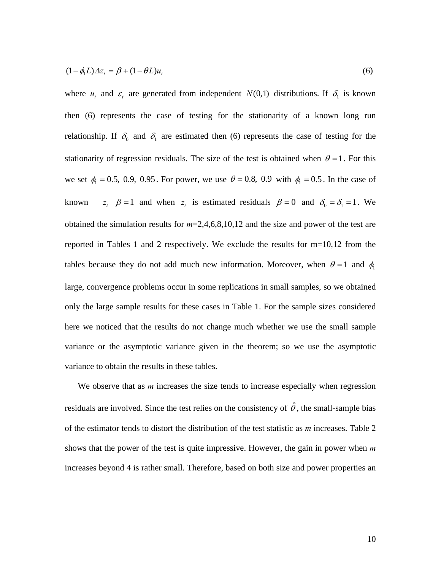$$
(1 - \phi_1 L)\Delta z_t = \beta + (1 - \theta L)u_t
$$
\n<sup>(6)</sup>

where  $u_t$  and  $\varepsilon_t$  are generated from independent  $N(0,1)$  distributions. If  $\delta_1$  is known then (6) represents the case of testing for the stationarity of a known long run relationship. If  $\delta_0$  and  $\delta_1$  are estimated then (6) represents the case of testing for the stationarity of regression residuals. The size of the test is obtained when  $\theta = 1$ . For this we set  $\phi_1 = 0.5, 0.9, 0.95$ . For power, we use  $\theta = 0.8, 0.9$  with  $\phi_1 = 0.5$ . In the case of known  $z_i$   $\beta = 1$  and when  $z_i$  is estimated residuals  $\beta = 0$  and  $\delta_0 = \delta_1 = 1$ . We obtained the simulation results for *m*=2,4,6,8,10,12 and the size and power of the test are reported in Tables 1 and 2 respectively. We exclude the results for m=10,12 from the tables because they do not add much new information. Moreover, when  $\theta = 1$  and  $\phi_1$ large, convergence problems occur in some replications in small samples, so we obtained only the large sample results for these cases in Table 1. For the sample sizes considered here we noticed that the results do not change much whether we use the small sample variance or the asymptotic variance given in the theorem; so we use the asymptotic variance to obtain the results in these tables.

We observe that as *m* increases the size tends to increase especially when regression residuals are involved. Since the test relies on the consistency of  $\hat{\theta}$ , the small-sample bias of the estimator tends to distort the distribution of the test statistic as *m* increases. Table 2 shows that the power of the test is quite impressive. However, the gain in power when *m* increases beyond 4 is rather small. Therefore, based on both size and power properties an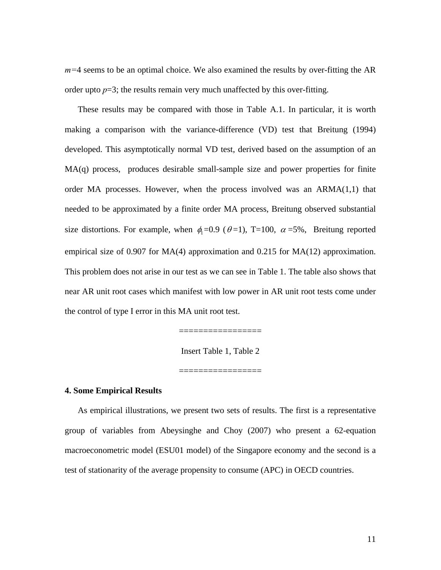*m=*4 seems to be an optimal choice. We also examined the results by over-fitting the AR order upto  $p=3$ ; the results remain very much unaffected by this over-fitting.

 These results may be compared with those in Table A.1. In particular, it is worth making a comparison with the variance-difference (VD) test that Breitung (1994) developed. This asymptotically normal VD test, derived based on the assumption of an MA(q) process, produces desirable small-sample size and power properties for finite order MA processes. However, when the process involved was an  $ARMA(1,1)$  that needed to be approximated by a finite order MA process, Breitung observed substantial size distortions. For example, when  $\phi_1 = 0.9$  ( $\theta = 1$ ), T=100,  $\alpha = 5\%$ , Breitung reported empirical size of 0.907 for MA(4) approximation and 0.215 for MA(12) approximation. This problem does not arise in our test as we can see in Table 1. The table also shows that near AR unit root cases which manifest with low power in AR unit root tests come under the control of type I error in this MA unit root test.

=================

Insert Table 1, Table 2

———*———————————* 

#### **4. Some Empirical Results**

 As empirical illustrations, we present two sets of results. The first is a representative group of variables from Abeysinghe and Choy (2007) who present a 62-equation macroeconometric model (ESU01 model) of the Singapore economy and the second is a test of stationarity of the average propensity to consume (APC) in OECD countries.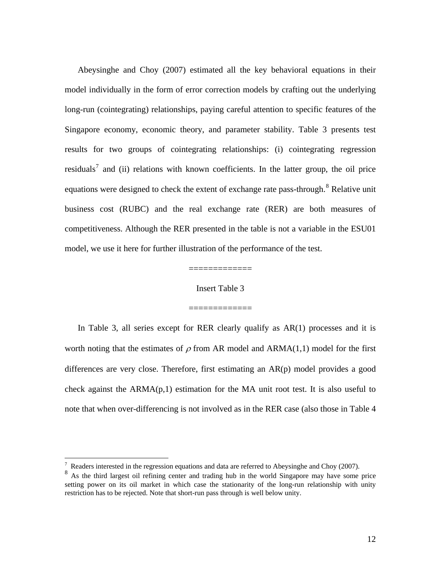<span id="page-12-0"></span> Abeysinghe and Choy (2007) estimated all the key behavioral equations in their model individually in the form of error correction models by crafting out the underlying long-run (cointegrating) relationships, paying careful attention to specific features of the Singapore economy, economic theory, and parameter stability. Table 3 presents test results for two groups of cointegrating relationships: (i) cointegrating regression residuals<sup>[7](#page-12-0)</sup> and (ii) relations with known coefficients. In the latter group, the oil price equations were designed to check the extent of exchange rate pass-through.<sup>[8](#page-12-0)</sup> Relative unit business cost (RUBC) and the real exchange rate (RER) are both measures of competitiveness. Although the RER presented in the table is not a variable in the ESU01 model, we use it here for further illustration of the performance of the test.

#### Insert Table 3

=============

=============

 In Table 3, all series except for RER clearly qualify as AR(1) processes and it is worth noting that the estimates of  $\rho$  from AR model and ARMA(1,1) model for the first differences are very close. Therefore, first estimating an AR(p) model provides a good check against the  $ARMA(p,1)$  estimation for the MA unit root test. It is also useful to note that when over-differencing is not involved as in the RER case (also those in Table 4

<u>.</u>

 $7$  Readers interested in the regression equations and data are referred to Abeysinghe and Choy (2007).

<sup>&</sup>lt;sup>8</sup> As the third largest oil refining center and trading hub in the world Singapore may have some price setting power on its oil market in which case the stationarity of the long-run relationship with unity restriction has to be rejected. Note that short-run pass through is well below unity.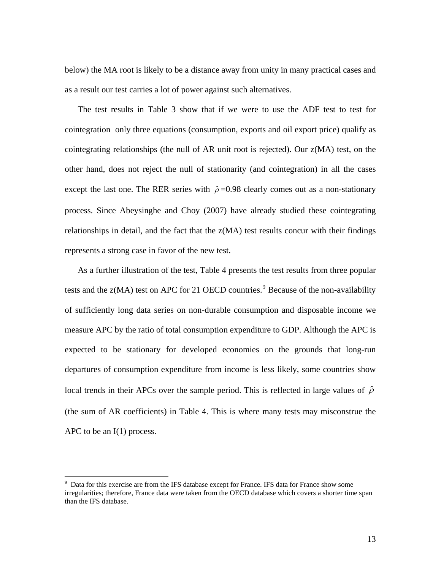<span id="page-13-0"></span>below) the MA root is likely to be a distance away from unity in many practical cases and as a result our test carries a lot of power against such alternatives.

 The test results in Table 3 show that if we were to use the ADF test to test for cointegration only three equations (consumption, exports and oil export price) qualify as cointegrating relationships (the null of AR unit root is rejected). Our z(MA) test, on the other hand, does not reject the null of stationarity (and cointegration) in all the cases except the last one. The RER series with  $\hat{\rho}$  =0.98 clearly comes out as a non-stationary process. Since Abeysinghe and Choy (2007) have already studied these cointegrating relationships in detail, and the fact that the z(MA) test results concur with their findings represents a strong case in favor of the new test.

 As a further illustration of the test, Table 4 presents the test results from three popular tests and the  $z(MA)$  test on APC for 21 OECD countries.<sup>[9](#page-13-0)</sup> Because of the non-availability of sufficiently long data series on non-durable consumption and disposable income we measure APC by the ratio of total consumption expenditure to GDP. Although the APC is expected to be stationary for developed economies on the grounds that long-run departures of consumption expenditure from income is less likely, some countries show local trends in their APCs over the sample period. This is reflected in large values of  $\hat{\rho}$ (the sum of AR coefficients) in Table 4. This is where many tests may misconstrue the APC to be an I(1) process.

-

<sup>&</sup>lt;sup>9</sup> Data for this exercise are from the IFS database except for France. IFS data for France show some irregularities; therefore, France data were taken from the OECD database which covers a shorter time span than the IFS database.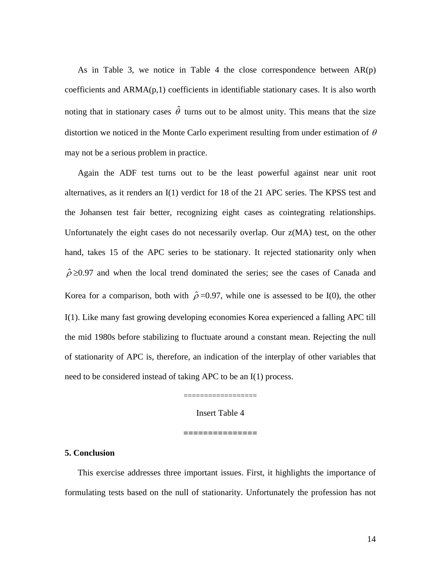As in Table 3, we notice in Table 4 the close correspondence between  $AR(p)$ coefficients and ARMA(p,1) coefficients in identifiable stationary cases. It is also worth noting that in stationary cases  $\hat{\theta}$  turns out to be almost unity. This means that the size distortion we noticed in the Monte Carlo experiment resulting from under estimation of  $\theta$ may not be a serious problem in practice.

 Again the ADF test turns out to be the least powerful against near unit root alternatives, as it renders an I(1) verdict for 18 of the 21 APC series. The KPSS test and the Johansen test fair better, recognizing eight cases as cointegrating relationships. Unfortunately the eight cases do not necessarily overlap. Our z(MA) test, on the other hand, takes 15 of the APC series to be stationary. It rejected stationarity only when  $\hat{\rho} \ge 0.97$  and when the local trend dominated the series; see the cases of Canada and Korea for a comparison, both with  $\hat{\rho}$  =0.97, while one is assessed to be I(0), the other I(1). Like many fast growing developing economies Korea experienced a falling APC till the mid 1980s before stabilizing to fluctuate around a constant mean. Rejecting the null of stationarity of APC is, therefore, an indication of the interplay of other variables that need to be considered instead of taking APC to be an I(1) process.

Insert Table 4

**===============** 

==================

**5. Conclusion**

 This exercise addresses three important issues. First, it highlights the importance of formulating tests based on the null of stationarity. Unfortunately the profession has not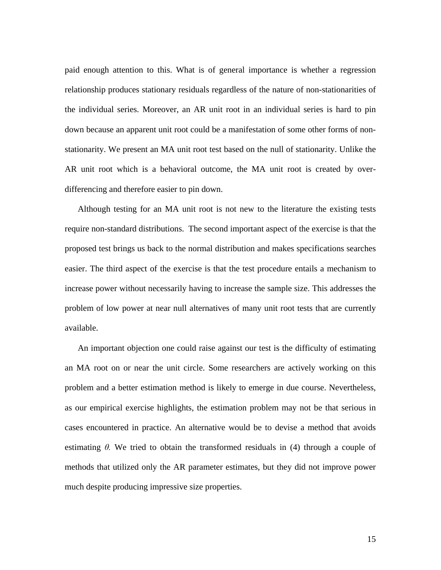paid enough attention to this. What is of general importance is whether a regression relationship produces stationary residuals regardless of the nature of non-stationarities of the individual series. Moreover, an AR unit root in an individual series is hard to pin down because an apparent unit root could be a manifestation of some other forms of nonstationarity. We present an MA unit root test based on the null of stationarity. Unlike the AR unit root which is a behavioral outcome, the MA unit root is created by overdifferencing and therefore easier to pin down.

 Although testing for an MA unit root is not new to the literature the existing tests require non-standard distributions. The second important aspect of the exercise is that the proposed test brings us back to the normal distribution and makes specifications searches easier. The third aspect of the exercise is that the test procedure entails a mechanism to increase power without necessarily having to increase the sample size. This addresses the problem of low power at near null alternatives of many unit root tests that are currently available.

 An important objection one could raise against our test is the difficulty of estimating an MA root on or near the unit circle. Some researchers are actively working on this problem and a better estimation method is likely to emerge in due course. Nevertheless, as our empirical exercise highlights, the estimation problem may not be that serious in cases encountered in practice. An alternative would be to devise a method that avoids estimating *θ.* We tried to obtain the transformed residuals in (4) through a couple of methods that utilized only the AR parameter estimates, but they did not improve power much despite producing impressive size properties.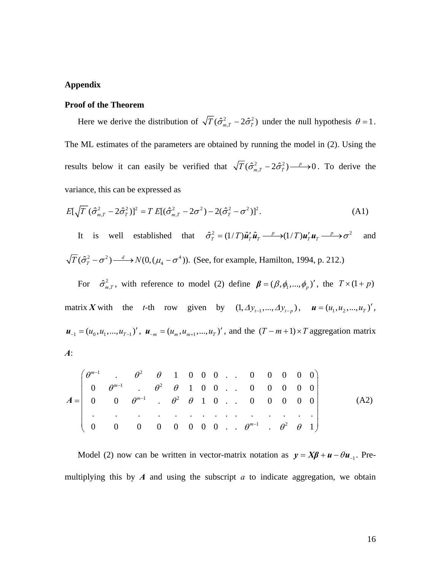### **Appendix**

#### **Proof of the Theorem**

Here we derive the distribution of  $\sqrt{T}(\hat{\sigma}_{m,T}^2 - 2\hat{\sigma}_T^2)$  under the null hypothesis  $\theta = 1$ . The ML estimates of the parameters are obtained by running the model in (2). Using the results below it can easily be verified that  $\sqrt{T}(\hat{\sigma}_{m,T}^2 - 2\hat{\sigma}_T^2) \longrightarrow 0$ . To derive the variance, this can be expressed as

$$
E[\sqrt{T}(\hat{\sigma}_{m,T}^2 - 2\hat{\sigma}_T^2)]^2 = T E[(\hat{\sigma}_{m,T}^2 - 2\sigma^2) - 2(\hat{\sigma}_T^2 - \sigma^2)]^2.
$$
 (A1)

It is well established that  $\hat{\sigma}_T^2 = (1/T) \hat{\mathbf{u}}_T' \hat{\mathbf{u}}_T \stackrel{p}{\longrightarrow} (1/T) \mathbf{u}_T' \mathbf{u}_T \stackrel{p}{\longrightarrow} \sigma^2$  and  $\overline{T}(\hat{\sigma}_T^2 - \sigma^2) \stackrel{d}{\longrightarrow} N(0, (\mu_4 - \sigma^4))$ . (See, for example, Hamilton, 1994, p. 212.)

For  $\hat{\sigma}_{m,T}^2$ , with reference to model (2) define  $\beta = (\beta, \phi_1, ..., \phi_p)'$ , the  $T \times (1 + p)$ matrix *X* with the *t*-th row given by  $(1, \Delta y_{t-1}, ..., \Delta y_{t-p})$ ,  $\mathbf{u} = (u_1, u_2, ..., u_T)'$ ,  $u_{-1} = (u_0, u_1, ..., u_{T-1})'$ ,  $u_{-m} = (u_m, u_{m+1}, ..., u_T)'$ , and the  $(T-m+1) \times T$  aggregation matrix *A*:

1 2 1 2 1 2 1 2 . 1 0 00.. 0 0 0 0 0 0 . 1 00.. 0 0 0 0 0 0 . 10.. 0 0 0 0 0 . . . . . . . . .. . . . . . 0 0 0 0 0 0 00.. . 1 *m m m m* θ θθ θ θθ θ θθ θ θθ − − − − ⎛ ⎞ ⎜ ⎟ = ⎝ ⎠ *A* 0 (A2)

Model (2) now can be written in vector-matrix notation as  $y = X\beta + u - \theta u_{-1}$ . Premultiplying this by  $\vec{A}$  and using the subscript  $\vec{a}$  to indicate aggregation, we obtain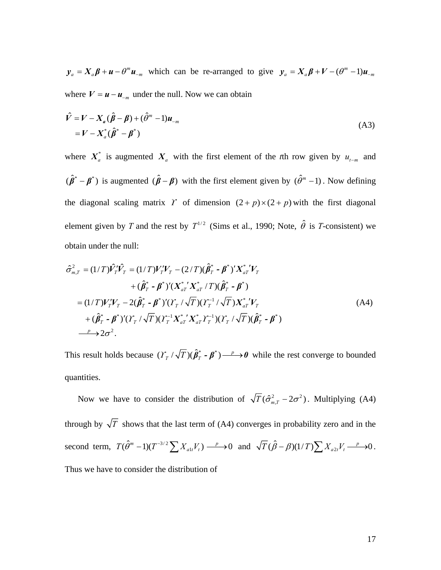$y_a = X_a \beta + \mu - \theta^m \mu_{-m}$  which can be re-arranged to give  $y_a = X_a \beta + V - (\theta^m - 1) \mu_{-m}$ where  $V = u - u_{-m}$  under the null. Now we can obtain

$$
\hat{V} = V - X_a (\hat{\boldsymbol{\beta}} - \boldsymbol{\beta}) + (\hat{\theta}^m - 1) \boldsymbol{u}_{-m}
$$
  
= 
$$
V - X_a^* (\hat{\boldsymbol{\beta}}^* - \boldsymbol{\beta}^*)
$$
 (A3)

\* where  $X_a^*$  is augmented  $X_a$  with the first element of the *t*th row given by  $u_{t-m}$  and  $(\hat{\beta}^* - \beta^*)$  is augmented  $(\hat{\beta} - \beta)$  with the first element given by  $(\hat{\beta}^m - 1)$ . Now defining the diagonal scaling matrix Y of dimension  $(2+p)\times(2+p)$  with the first diagonal element given by *T* and the rest by  $T^{1/2}$  (Sims et al., 1990; Note,  $\hat{\theta}$  is *T*-consistent) we obtain under the null:

$$
\hat{\sigma}_{m,T}^{2} = (1/T)\hat{V}_{T}^{\prime}\hat{V}_{T} = (1/T)V_{T}^{\prime}V_{T} - (2/T)(\hat{\beta}_{T}^{*} - \beta^{*})^{\prime}X_{aT}^{*^{\prime}}V_{T} \n+ (\hat{\beta}_{T}^{*} - \beta^{*})^{\prime}(X_{aT}^{*^{\prime}}X_{aT}^{*}/T)(\hat{\beta}_{T}^{*} - \beta^{*}) \n= (1/T)V_{T}^{\prime}V_{T} - 2(\hat{\beta}_{T}^{*} - \beta^{*})^{\prime}(Y_{T}/\sqrt{T})(Y_{T}^{-1}/\sqrt{T})X_{aT}^{*^{\prime}}V_{T} \n+ (\hat{\beta}_{T}^{*} - \beta^{*})^{\prime}(Y_{T}/\sqrt{T})(Y_{T}^{-1}X_{aT}^{*^{\prime}}X_{aT}^{*}Y_{T}^{-1})(Y_{T}/\sqrt{T})(\hat{\beta}_{T}^{*} - \beta^{*}) \n- \frac{p}{2}\partial\sigma^{2}.
$$
\n(A4)

This result holds because  $(\frac{\gamma}{T}) (\hat{\beta}_T^* - \beta^*) \longrightarrow 0$  while the rest converge to bounded quantities.

Now we have to consider the distribution of  $\sqrt{T} (\hat{\sigma}_{m,T}^2 - 2\sigma^2)$ . Multiplying (A4) through by  $\sqrt{T}$  shows that the last term of (A4) converges in probability zero and in the second term,  $T(\hat{\theta}^m - 1)(T^{-3/2} \sum X_{a1t} V_t) \xrightarrow{p} 0$  and  $\sqrt{T}(\hat{\beta} - \beta)(1/T) \sum X_{a2t} V_t \xrightarrow{p} 0$ . Thus we have to consider the distribution of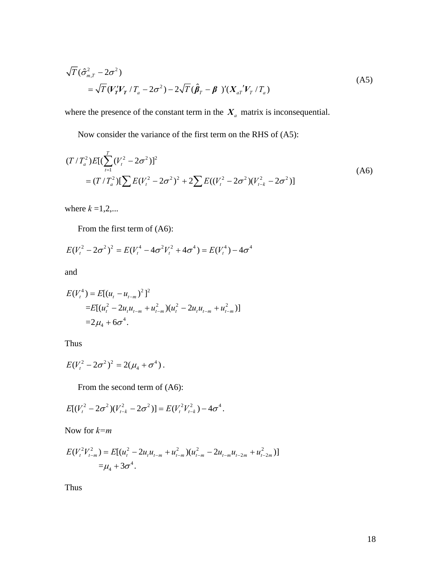$$
\sqrt{T}(\hat{\sigma}_{m,T}^2 - 2\sigma^2)
$$
\n
$$
= \sqrt{T}(V_T'V_T / T_a - 2\sigma^2) - 2\sqrt{T}(\hat{\beta}_T - \beta')'(X_{aT}'V_T / T_a)
$$
\n(A5)

where the presence of the constant term in the  $X_a$  matrix is inconsequential.

Now consider the variance of the first term on the RHS of (A5):

$$
(T/T_a^2)E[(\sum_{t=1}^T (V_t^2 - 2\sigma^2))^2
$$
  
=  $(T/T_a^2)[\sum E(V_t^2 - 2\sigma^2)^2 + 2\sum E((V_t^2 - 2\sigma^2)(V_{t-k}^2 - 2\sigma^2)]$  (A6)

where  $k = 1, 2, \dots$ 

From the first term of (A6):

$$
E(V_t^2 - 2\sigma^2)^2 = E(V_t^4 - 4\sigma^2 V_t^2 + 4\sigma^4) = E(V_t^4) - 4\sigma^4
$$

and

$$
E(V_t^4) = E[(u_t - u_{t-m})^2]^2
$$
  
=
$$
E[(u_t^2 - 2u_tu_{t-m} + u_{t-m}^2)(u_t^2 - 2u_tu_{t-m} + u_{t-m}^2)]
$$
  
=
$$
2\mu_4 + 6\sigma^4.
$$

Thus

$$
E(V_t^2 - 2\sigma^2)^2 = 2(\mu_4 + \sigma^4).
$$

From the second term of (A6):

$$
E[(V_t^2 - 2\sigma^2)(V_{t-k}^2 - 2\sigma^2)] = E(V_t^2 V_{t-k}^2) - 4\sigma^4.
$$

Now for *k=m* 

$$
E(V_t^2 V_{t-m}^2) = E[(u_t^2 - 2u_t u_{t-m} + u_{t-m}^2)(u_{t-m}^2 - 2u_{t-m}u_{t-2m} + u_{t-2m}^2)]
$$
  
=  $\mu_4 + 3\sigma^4$ .

Thus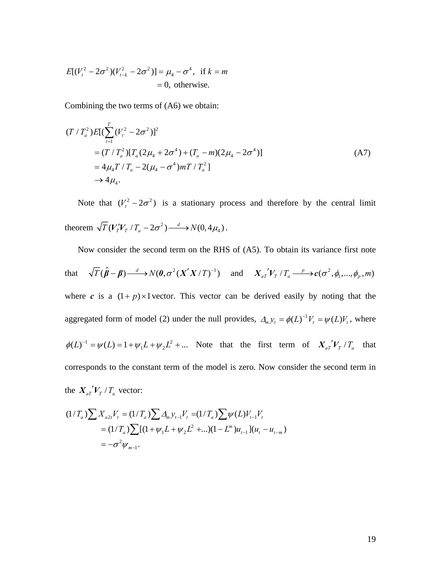$$
E[(V_t^2 - 2\sigma^2)(V_{t-k}^2 - 2\sigma^2)] = \mu_4 - \sigma^4, \text{ if } k = m
$$
  
= 0, otherwise.

Combining the two terms of (A6) we obtain:

$$
(T/T_a^2)E[(\sum_{t=1}^T (V_t^2 - 2\sigma^2)]^2
$$
  
=  $(T/T_a^2)[T_a(2\mu_4 + 2\sigma^4) + (T_a - m)(2\mu_4 - 2\sigma^4)]$   
=  $4\mu_4 T/T_a - 2(\mu_4 - \sigma^4) m T/T_a^2$  (A7)  
 $\rightarrow 4\mu_4$ .

Note that  $(V_t^2 - 2\sigma^2)$  is a stationary process and therefore by the central limit theorem  $\sqrt{T} (V_T' V_T / T_a - 2\sigma^2) \xrightarrow{d} N(0, 4\mu_4)$ .

 Now consider the second term on the RHS of (A5). To obtain its variance first note that  $\sqrt{T}(\hat{\beta} - \beta) \xrightarrow{d} N(\theta, \sigma^2(X'X/T)^{-1})$  and  $X_{aT}^{\prime\prime}V_T/T_a \xrightarrow{p} c(\sigma^2, \phi_1, ..., \phi_p, m)$  $\phi(L)^{-1} = \psi(L) = 1 + \psi_1 L + \psi_2 L^2 + \dots$  Note that the first term of  $X_{aT} V_T / T_a$  that where *c* is a  $(1+p) \times 1$  vector. This vector can be derived easily by noting that the aggregated form of model (2) under the null provides,  $\Delta_m y_t = \phi(L)^{-1} V_t = \psi(L) V_t$ , where corresponds to the constant term of the model is zero. Now consider the second term in the  $X_{aT}^{\prime\prime}V_T/T_a$  vector:

$$
(1/T_a)\sum X_{a2t}V_t = (1/T_a)\sum A_m y_{t-1}V_t = (1/T_a)\sum \psi(L)V_{t-1}V_t
$$
  
=  $(1/T_a)\sum [(1+\psi_1L+\psi_2L^2+...)(1-L^m)u_{t-1}](u_t - u_{t-m})$   
=  $-\sigma^2 \psi_{m-1}$ .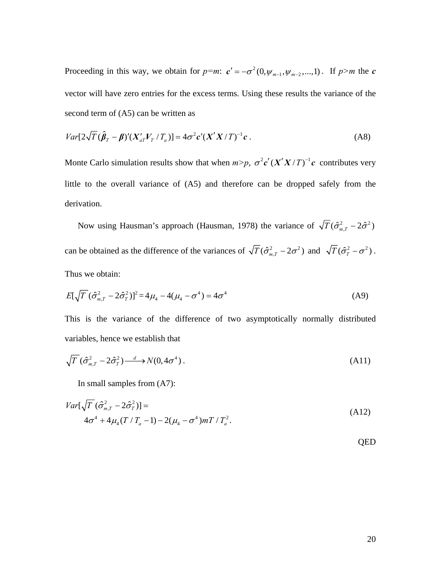Proceeding in this way, we obtain for  $p=m: c' = -\sigma^2(0, \psi_{m-1}, \psi_{m-2},...,1)$ . If  $p>m$  the *c* vector will have zero entries for the excess terms. Using these results the variance of the second term of (A5) can be written as

$$
Var[2\sqrt{T}(\hat{\boldsymbol{\beta}}_T - \boldsymbol{\beta})'(X_{aT}'V_T/T_a)] = 4\sigma^2 c'(X'X/T)^{-1}c.
$$
 (A8)

Monte Carlo simulation results show that when  $m > p$ ,  $\sigma^2 c' (X'X/T)^{-1} c$  contributes very little to the overall variance of (A5) and therefore can be dropped safely from the derivation.

Now using Hausman's approach (Hausman, 1978) the variance of  $\sqrt{T} (\hat{\sigma}_{m,T}^2 - 2 \hat{\sigma}^2)$ can be obtained as the difference of the variances of  $\sqrt{T}(\hat{\sigma}_{m,T}^2 - 2\sigma^2)$  and  $\sqrt{T}(\hat{\sigma}_T^2 - \sigma^2)$ . Thus we obtain:

$$
E[\sqrt{T}(\hat{\sigma}_{m,T}^2 - 2\hat{\sigma}_T^2)]^2 = 4\mu_4 - 4(\mu_4 - \sigma^4) = 4\sigma^4
$$
 (A9)

This is the variance of the difference of two asymptotically normally distributed variables, hence we establish that

$$
\sqrt{T} \left( \hat{\sigma}_{m,T}^2 - 2\hat{\sigma}_T^2 \right) \xrightarrow{d} N(0, 4\sigma^4) \,. \tag{A11}
$$

In small samples from (A7):

$$
Var[\sqrt{T} (\hat{\sigma}_{m,T}^{2} - 2\hat{\sigma}_{T}^{2})] =
$$
  
4\sigma^{4} + 4\mu\_{4}(T/T\_{a} - 1) - 2(\mu\_{4} - \sigma^{4})mT/T\_{a}^{2}. (A12)

QED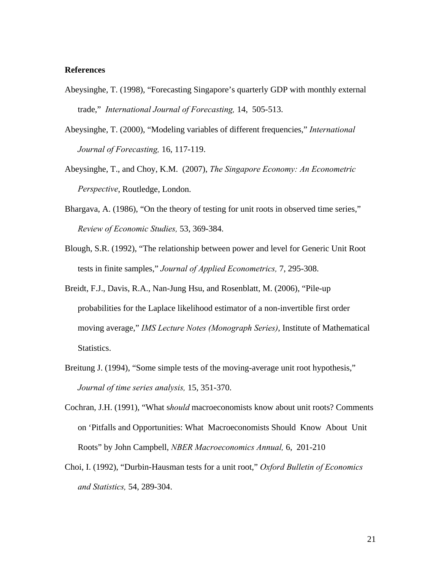#### **References**

- Abeysinghe, T. (1998), "Forecasting Singapore's quarterly GDP with monthly external trade," *International Journal of Forecasting,* 14, 505-513.
- Abeysinghe, T. (2000), "Modeling variables of different frequencies," *International Journal of Forecasting,* 16, 117-119.
- Abeysinghe, T., and Choy, K.M. (2007), *The Singapore Economy: An Econometric Perspective*, Routledge, London.
- Bhargava, A. (1986), "On the theory of testing for unit roots in observed time series," *Review of Economic Studies,* 53, 369-384.
- Blough, S.R. (1992), "The relationship between power and level for Generic Unit Root tests in finite samples," *Journal of Applied Econometrics,* 7, 295-308.
- Breidt, F.J., Davis, R.A., Nan-Jung Hsu, and Rosenblatt, M. (2006), "Pile-up probabilities for the Laplace likelihood estimator of a non-invertible first order moving average," *IMS Lecture Notes (Monograph Series)*, Institute of Mathematical Statistics.
- Breitung J. (1994), "Some simple tests of the moving-average unit root hypothesis," *Journal of time series analysis,* 15, 351-370.
- Cochran, J.H. (1991), "What s*hould* macroeconomists know about unit roots? Comments on 'Pitfalls and Opportunities: What Macroeconomists Should Know About Unit Roots" by John Campbell, *NBER Macroeconomics Annual,* 6, 201-210
- Choi, I. (1992), "Durbin-Hausman tests for a unit root," *Oxford Bulletin of Economics and Statistics,* 54, 289-304.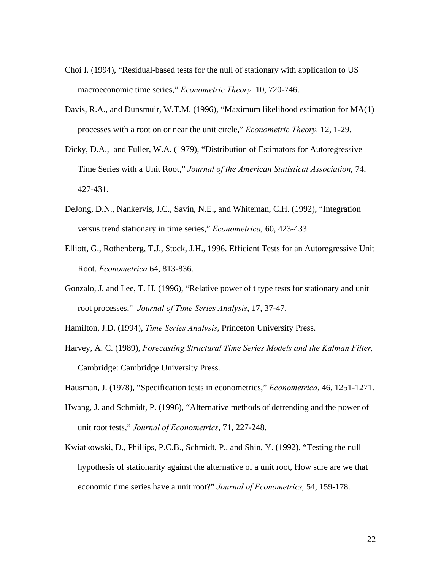- Choi I. (1994), "Residual-based tests for the null of stationary with application to US macroeconomic time series," *Econometric Theory,* 10, 720-746.
- Davis, R.A., and Dunsmuir, W.T.M. (1996), "Maximum likelihood estimation for MA(1) processes with a root on or near the unit circle," *Econometric Theory,* 12, 1-29.
- Dicky, D.A., and Fuller, W.A. (1979), "Distribution of Estimators for Autoregressive Time Series with a Unit Root," *Journal of the American Statistical Association,* 74, 427-431.
- DeJong, D.N., Nankervis, J.C., Savin, N.E., and Whiteman, C.H. (1992), "Integration versus trend stationary in time series," *Econometrica,* 60, 423-433.
- Elliott, G., Rothenberg, T.J., Stock, J.H., 1996. Efficient Tests for an Autoregressive Unit Root. *Econometrica* 64, 813-836.
- Gonzalo, J. and Lee, T. H. (1996), "Relative power of t type tests for stationary and unit root processes," *Journal of Time Series Analysis*, 17, 37-47.

Hamilton, J.D. (1994), *Time Series Analysis*, Princeton University Press.

- Harvey, A. C. (1989), *Forecasting Structural Time Series Models and the Kalman Filter,* Cambridge: Cambridge University Press.
- Hausman, J. (1978), "Specification tests in econometrics," *Econometrica*, 46, 1251-1271.
- Hwang, J. and Schmidt, P. (1996), "Alternative methods of detrending and the power of unit root tests," *Journal of Econometrics*, 71, 227-248.
- Kwiatkowski, D., Phillips, P.C.B., Schmidt, P., and Shin, Y. (1992), "Testing the null hypothesis of stationarity against the alternative of a unit root, How sure are we that economic time series have a unit root?" *Journal of Econometrics,* 54, 159-178.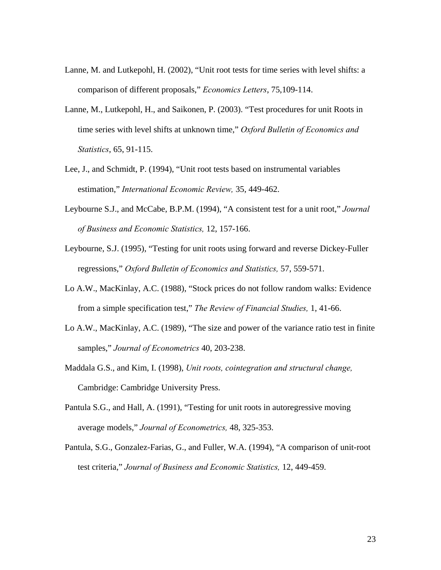- Lanne, M. and Lutkepohl, H. (2002), "Unit root tests for time series with level shifts: a comparison of different proposals," *Economics Letters*, 75,109-114.
- Lanne, M., Lutkepohl, H., and Saikonen, P. (2003). "Test procedures for unit Roots in time series with level shifts at unknown time," *Oxford Bulletin of Economics and Statistics*, 65, 91-115.
- Lee, J., and Schmidt, P. (1994), "Unit root tests based on instrumental variables estimation," *International Economic Review,* 35, 449-462.
- Leybourne S.J., and McCabe, B.P.M. (1994), "A consistent test for a unit root," *Journal of Business and Economic Statistics,* 12, 157-166.
- Leybourne, S.J. (1995), "Testing for unit roots using forward and reverse Dickey-Fuller regressions," *Oxford Bulletin of Economics and Statistics,* 57, 559-571.
- Lo A.W., MacKinlay, A.C. (1988), "Stock prices do not follow random walks: Evidence from a simple specification test," *The Review of Financial Studies,* 1, 41-66.
- Lo A.W., MacKinlay, A.C. (1989), "The size and power of the variance ratio test in finite samples," *Journal of Econometrics* 40, 203-238.
- Maddala G.S., and Kim, I. (1998), *Unit roots, cointegration and structural change,* Cambridge: Cambridge University Press.
- Pantula S.G., and Hall, A. (1991), "Testing for unit roots in autoregressive moving average models," *Journal of Econometrics,* 48, 325-353.
- Pantula, S.G., Gonzalez-Farias, G., and Fuller, W.A. (1994), "A comparison of unit-root test criteria," *Journal of Business and Economic Statistics,* 12, 449-459.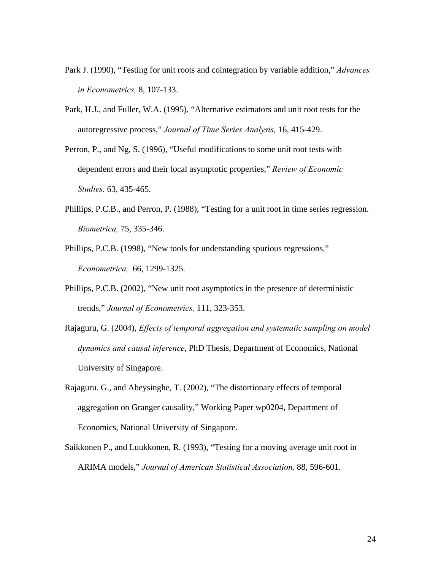- Park J. (1990), "Testing for unit roots and cointegration by variable addition," *Advances in Econometrics,* 8, 107-133.
- Park, H.J., and Fuller, W.A. (1995), "Alternative estimators and unit root tests for the autoregressive process," *Journal of Time Series Analysis,* 16, 415-429.
- Perron, P., and Ng, S. (1996), "Useful modifications to some unit root tests with dependent errors and their local asymptotic properties," *Review of Economic Studies,* 63, 435-465.
- Phillips, P.C.B., and Perron, P. (1988), "Testing for a unit root in time series regression. *Biometrica,* 75, 335-346.
- Phillips, P.C.B. (1998), "New tools for understanding spurious regressions," *Econometrica,* 66, 1299-1325.
- Phillips, P.C.B. (2002), "New unit root asymptotics in the presence of deterministic trends," *Journal of Econometrics,* 111, 323-353.
- Rajaguru, G. (2004), *Effects of temporal aggregation and systematic sampling on model dynamics and causal inference*, PhD Thesis, Department of Economics, National University of Singapore.
- Rajaguru. G., and Abeysinghe, T. (2002), "The distortionary effects of temporal aggregation on Granger causality," Working Paper wp0204, Department of Economics, National University of Singapore.
- Saikkonen P., and Luukkonen, R. (1993), "Testing for a moving average unit root in ARIMA models," *Journal of American Statistical Association,* 88, 596-601.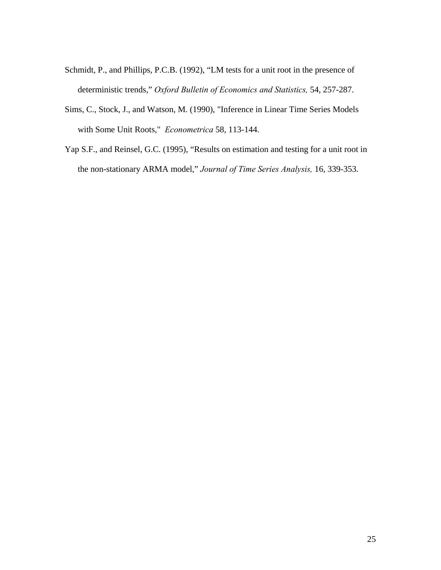- Schmidt, P., and Phillips, P.C.B. (1992), "LM tests for a unit root in the presence of deterministic trends," *Oxford Bulletin of Economics and Statistics,* 54, 257-287.
- Sims, C., Stock, J., and Watson, M. (1990), "Inference in Linear Time Series Models with Some Unit Roots," *Econometrica* 58, 113-144.
- Yap S.F., and Reinsel, G.C. (1995), "Results on estimation and testing for a unit root in the non-stationary ARMA model," *Journal of Time Series Analysis,* 16, 339-353.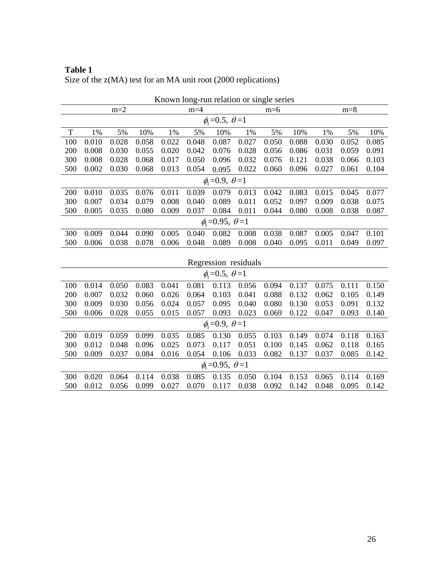| <b>Table 1</b>                                                   |  |
|------------------------------------------------------------------|--|
| Size of the $z(MA)$ test for an MA unit root (2000 replications) |  |

|                             | Known long-run relation or single series |       |       |       |       |                             |       |       |       |       |       |       |
|-----------------------------|------------------------------------------|-------|-------|-------|-------|-----------------------------|-------|-------|-------|-------|-------|-------|
|                             |                                          | $m=2$ |       |       | $m=4$ |                             |       | $m=6$ |       |       | $m=8$ |       |
|                             | $\phi_1 = 0.5, \theta = 1$               |       |       |       |       |                             |       |       |       |       |       |       |
| T                           | 1%                                       | 5%    | 10%   | 1%    | 5%    | 10%                         | 1%    | 5%    | 10%   | 1%    | 5%    | 10%   |
| 100                         | 0.010                                    | 0.028 | 0.058 | 0.022 | 0.048 | 0.087                       | 0.027 | 0.050 | 0.088 | 0.030 | 0.052 | 0.085 |
| 200                         | 0.008                                    | 0.030 | 0.055 | 0.020 | 0.042 | 0.076                       | 0.028 | 0.056 | 0.086 | 0.031 | 0.059 | 0.091 |
| 300                         | 0.008                                    | 0.028 | 0.068 | 0.017 | 0.050 | 0.096                       | 0.032 | 0.076 | 0.121 | 0.038 | 0.066 | 0.103 |
| 500                         | 0.002                                    | 0.030 | 0.068 | 0.013 | 0.054 | 0.095                       | 0.022 | 0.060 | 0.096 | 0.027 | 0.061 | 0.104 |
| $\phi_1 = 0.9, \theta = 1$  |                                          |       |       |       |       |                             |       |       |       |       |       |       |
| 200                         | 0.010                                    | 0.035 | 0.076 | 0.011 | 0.039 | 0.079                       | 0.013 | 0.042 | 0.083 | 0.015 | 0.045 | 0.077 |
| 300                         | 0.007                                    | 0.034 | 0.079 | 0.008 | 0.040 | 0.089                       | 0.011 | 0.052 | 0.097 | 0.009 | 0.038 | 0.075 |
| 500                         | 0.005                                    | 0.035 | 0.080 | 0.009 | 0.037 | 0.084                       | 0.011 | 0.044 | 0.080 | 0.008 | 0.038 | 0.087 |
| $\phi_1 = 0.95, \theta = 1$ |                                          |       |       |       |       |                             |       |       |       |       |       |       |
| 300                         | 0.009                                    | 0.044 | 0.090 | 0.005 | 0.040 | 0.082                       | 0.008 | 0.038 | 0.087 | 0.005 | 0.047 | 0.101 |
| 500                         | 0.006                                    | 0.038 | 0.078 | 0.006 | 0.048 | 0.089                       | 0.008 | 0.040 | 0.095 | 0.011 | 0.049 | 0.097 |
|                             |                                          |       |       |       |       |                             |       |       |       |       |       |       |
| Regression residuals        |                                          |       |       |       |       |                             |       |       |       |       |       |       |
|                             |                                          |       |       |       |       | $\phi_1 = 0.5, \theta = 1$  |       |       |       |       |       |       |
| 100                         | 0.014                                    | 0.050 | 0.083 | 0.041 | 0.081 | 0.113                       | 0.056 | 0.094 | 0.137 | 0.075 | 0.111 | 0.150 |
| 200                         | 0.007                                    | 0.032 | 0.060 | 0.026 | 0.064 | 0.103                       | 0.041 | 0.088 | 0.132 | 0.062 | 0.105 | 0.149 |
| 300                         | 0.009                                    | 0.030 | 0.056 | 0.024 | 0.057 | 0.095                       | 0.040 | 0.080 | 0.130 | 0.053 | 0.091 | 0.132 |
| 500                         | 0.006                                    | 0.028 | 0.055 | 0.015 | 0.057 | 0.093                       | 0.023 | 0.069 | 0.122 | 0.047 | 0.093 | 0.140 |
|                             |                                          |       |       |       |       | $\phi_1 = 0.9, \theta = 1$  |       |       |       |       |       |       |
| 200                         | 0.019                                    | 0.059 | 0.099 | 0.035 | 0.085 | 0.130                       | 0.055 | 0.103 | 0.149 | 0.074 | 0.118 | 0.163 |
| 300                         | 0.012                                    | 0.048 | 0.096 | 0.025 | 0.073 | 0.117                       | 0.051 | 0.100 | 0.145 | 0.062 | 0.118 | 0.165 |
| 500                         | 0.009                                    | 0.037 | 0.084 | 0.016 | 0.054 | 0.106                       | 0.033 | 0.082 | 0.137 | 0.037 | 0.085 | 0.142 |
|                             |                                          |       |       |       |       | $\phi_1 = 0.95, \theta = 1$ |       |       |       |       |       |       |
| 300                         | 0.020                                    | 0.064 | 0.114 | 0.038 | 0.085 | 0.135                       | 0.050 | 0.104 | 0.153 | 0.065 | 0.114 | 0.169 |
| 500                         | 0.012                                    | 0.056 | 0.099 | 0.027 | 0.070 | 0.117                       | 0.038 | 0.092 | 0.142 | 0.048 | 0.095 | 0.142 |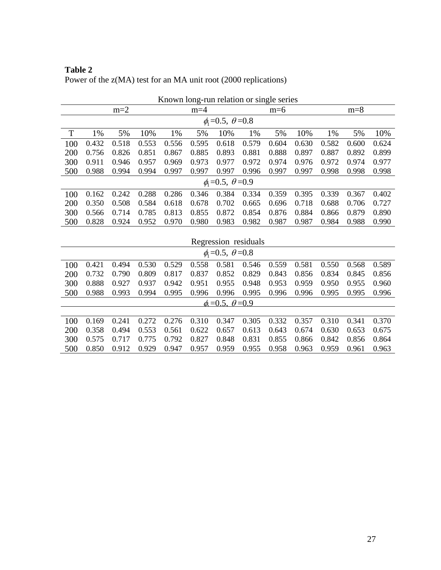|                                 | Known long-run relation or single series |       |       |       |       |                                |       |       |       |       |       |       |
|---------------------------------|------------------------------------------|-------|-------|-------|-------|--------------------------------|-------|-------|-------|-------|-------|-------|
|                                 |                                          | $m=2$ |       |       | $m=4$ |                                |       | $m=6$ |       |       | $m=8$ |       |
|                                 | $\phi_1 = 0.5, \ \theta = 0.8$           |       |       |       |       |                                |       |       |       |       |       |       |
| T                               | 1%                                       | 5%    | 10%   | 1%    | 5%    | 10%                            | 1%    | 5%    | 10%   | 1%    | 5%    | 10%   |
| 100                             | 0.432                                    | 0.518 | 0.553 | 0.556 | 0.595 | 0.618                          | 0.579 | 0.604 | 0.630 | 0.582 | 0.600 | 0.624 |
| 200                             | 0.756                                    | 0.826 | 0.851 | 0.867 | 0.885 | 0.893                          | 0.881 | 0.888 | 0.897 | 0.887 | 0.892 | 0.899 |
| 300                             | 0.911                                    | 0.946 | 0.957 | 0.969 | 0.973 | 0.977                          | 0.972 | 0.974 | 0.976 | 0.972 | 0.974 | 0.977 |
| 500                             | 0.988                                    | 0.994 | 0.994 | 0.997 | 0.997 | 0.997                          | 0.996 | 0.997 | 0.997 | 0.998 | 0.998 | 0.998 |
| $\phi_1 = 0.5$ , $\theta = 0.9$ |                                          |       |       |       |       |                                |       |       |       |       |       |       |
| 100                             | 0.162                                    | 0.242 | 0.288 | 0.286 | 0.346 | 0.384                          | 0.334 | 0.359 | 0.395 | 0.339 | 0.367 | 0.402 |
| 200                             | 0.350                                    | 0.508 | 0.584 | 0.618 | 0.678 | 0.702                          | 0.665 | 0.696 | 0.718 | 0.688 | 0.706 | 0.727 |
| 300                             | 0.566                                    | 0.714 | 0.785 | 0.813 | 0.855 | 0.872                          | 0.854 | 0.876 | 0.884 | 0.866 | 0.879 | 0.890 |
| 500                             | 0.828                                    | 0.924 | 0.952 | 0.970 | 0.980 | 0.983                          | 0.982 | 0.987 | 0.987 | 0.984 | 0.988 | 0.990 |
|                                 |                                          |       |       |       |       |                                |       |       |       |       |       |       |
| Regression residuals            |                                          |       |       |       |       |                                |       |       |       |       |       |       |
|                                 |                                          |       |       |       |       | $\phi_1 = 0.5, \ \theta = 0.8$ |       |       |       |       |       |       |
| 100                             | 0.421                                    | 0.494 | 0.530 | 0.529 | 0.558 | 0.581                          | 0.546 | 0.559 | 0.581 | 0.550 | 0.568 | 0.589 |
| 200                             | 0.732                                    | 0.790 | 0.809 | 0.817 | 0.837 | 0.852                          | 0.829 | 0.843 | 0.856 | 0.834 | 0.845 | 0.856 |
| 300                             | 0.888                                    | 0.927 | 0.937 | 0.942 | 0.951 | 0.955                          | 0.948 | 0.953 | 0.959 | 0.950 | 0.955 | 0.960 |
| 500                             | 0.988                                    | 0.993 | 0.994 | 0.995 | 0.996 | 0.996                          | 0.995 | 0.996 | 0.996 | 0.995 | 0.995 | 0.996 |
|                                 |                                          |       |       |       |       | $\phi = 0.5, \ \theta = 0.9$   |       |       |       |       |       |       |
|                                 |                                          |       |       |       |       |                                |       |       |       |       |       |       |
| 100                             | 0.169                                    | 0.241 | 0.272 | 0.276 | 0.310 | 0.347                          | 0.305 | 0.332 | 0.357 | 0.310 | 0.341 | 0.370 |
| 200                             | 0.358                                    | 0.494 | 0.553 | 0.561 | 0.622 | 0.657                          | 0.613 | 0.643 | 0.674 | 0.630 | 0.653 | 0.675 |
| 300                             | 0.575                                    | 0.717 | 0.775 | 0.792 | 0.827 | 0.848                          | 0.831 | 0.855 | 0.866 | 0.842 | 0.856 | 0.864 |
| 500                             | 0.850                                    | 0.912 | 0.929 | 0.947 | 0.957 | 0.959                          | 0.955 | 0.958 | 0.963 | 0.959 | 0.961 | 0.963 |

**Table 2**  Power of the z(MA) test for an MA unit root (2000 replications)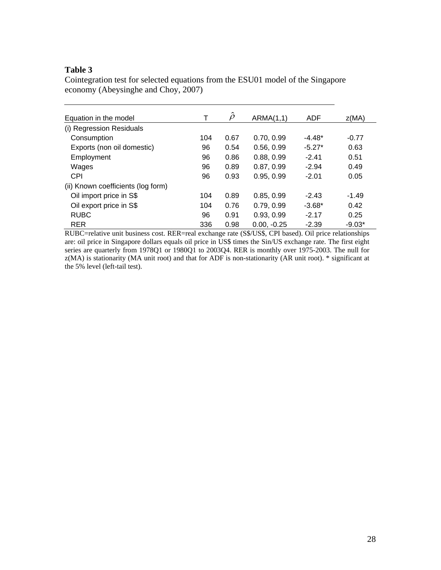## **Table 3**

Cointegration test for selected equations from the ESU01 model of the Singapore economy (Abeysinghe and Choy, 2007)

| Equation in the model              | т   | $\hat{\rho}$ | ARMA(1,1)     | <b>ADF</b> | Z(MA)    |
|------------------------------------|-----|--------------|---------------|------------|----------|
| (i) Regression Residuals           |     |              |               |            |          |
| Consumption                        | 104 | 0.67         | 0.70, 0.99    | $-4.48*$   | $-0.77$  |
| Exports (non oil domestic)         | 96  | 0.54         | 0.56, 0.99    | $-5.27*$   | 0.63     |
| Employment                         | 96  | 0.86         | 0.88, 0.99    | $-2.41$    | 0.51     |
| Wages                              | 96  | 0.89         | 0.87, 0.99    | $-2.94$    | 0.49     |
| <b>CPI</b>                         | 96  | 0.93         | 0.95, 0.99    | $-2.01$    | 0.05     |
| (ii) Known coefficients (log form) |     |              |               |            |          |
| Oil import price in S\$            | 104 | 0.89         | 0.85.0.99     | $-2.43$    | $-1.49$  |
| Oil export price in S\$            | 104 | 0.76         | 0.79, 0.99    | $-3.68*$   | 0.42     |
| <b>RUBC</b>                        | 96  | 0.91         | 0.93, 0.99    | $-2.17$    | 0.25     |
| <b>RER</b>                         | 336 | 0.98         | $0.00. -0.25$ | $-2.39$    | $-9.03*$ |

RUBC=relative unit business cost. RER=real exchange rate (S\$/US\$, CPI based). Oil price relationships are: oil price in Singapore dollars equals oil price in US\$ times the Sin/US exchange rate. The first eight series are quarterly from 1978Q1 or 1980Q1 to 2003Q4. RER is monthly over 1975-2003. The null for z(MA) is stationarity (MA unit root) and that for ADF is non-stationarity (AR unit root). \* significant at the 5% level (left-tail test).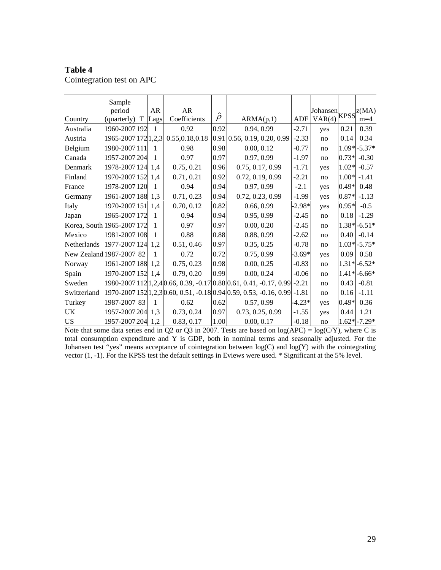#### **Table 4**

Cointegration test on APC

|                            | Sample              |             |      |                |              |                                                                            |          |          |         |                        |
|----------------------------|---------------------|-------------|------|----------------|--------------|----------------------------------------------------------------------------|----------|----------|---------|------------------------|
|                            | period              |             | AR   | <b>AR</b>      |              |                                                                            |          | Johansen |         | $kPSS$ $\big ^{Z(MA)}$ |
| Country                    | (quarterly)         | $\mathbf T$ | Lags | Coefficients   | $\hat{\rho}$ | ARMA(p,1)                                                                  | ADF      | VAR(4)   |         |                        |
| Australia                  | 1960-2007 192       |             | 1    | 0.92           | 0.92         | 0.94, 0.99                                                                 | $-2.71$  | yes      | 0.21    | 0.39                   |
| Austria                    | 1965-2007 172 1,2,3 |             |      | 0.55,0.18,0.18 |              | $0.91$ 0.56, 0.19, 0.20, 0.99                                              | $-2.33$  | no       | 0.14    | 0.34                   |
| Belgium                    | 1980-2007 111       |             | 1    | 0.98           | 0.98         | 0.00, 0.12                                                                 | $-0.77$  | no       |         | $1.09* - 5.37*$        |
| Canada                     | 1957-2007 204       |             | 1    | 0.97           | 0.97         | 0.97, 0.99                                                                 | $-1.97$  | no       | $0.73*$ | $-0.30$                |
| Denmark                    | 1978-2007 124       |             | 1.4  | 0.75, 0.21     | 0.96         | 0.75, 0.17, 0.99                                                           | $-1.71$  | yes      | $1.02*$ | $-0.57$                |
| Finland                    | 1970-2007 152       |             | 1.4  | 0.71, 0.21     | 0.92         | 0.72, 0.19, 0.99                                                           | $-2.21$  | no       | $1.00*$ | $-1.41$                |
| France                     | 1978-2007 120       |             | 1    | 0.94           | 0.94         | 0.97, 0.99                                                                 | $-2.1$   | yes      | $0.49*$ | 0.48                   |
| Germany                    | 1961-2007 188       |             | 1,3  | 0.71, 0.23     | 0.94         | 0.72, 0.23, 0.99                                                           | $-1.99$  | yes      | $0.87*$ | $-1.13$                |
| Italy                      | 1970-2007 151       |             | 1.4  | 0.70, 0.12     | 0.82         | 0.66, 0.99                                                                 | $-2.98*$ | yes      | $0.95*$ | $-0.5$                 |
| Japan                      | 1965-2007 172       |             | 1    | 0.94           | 0.94         | 0.95, 0.99                                                                 | $-2.45$  | no       | 0.18    | $-1.29$                |
| Korea, South 1965-2007 172 |                     |             | 1    | 0.97           | 0.97         | 0.00, 0.20                                                                 | $-2.45$  | no       |         | $1.38* -6.51*$         |
| Mexico                     | 1981-2007 108       |             | 1    | 0.88           | 0.88         | 0.88, 0.99                                                                 | $-2.62$  | no       | 0.40    | $-0.14$                |
| <b>Netherlands</b>         | 1977-2007 124       |             | 1.2  | 0.51, 0.46     | 0.97         | 0.35, 0.25                                                                 | $-0.78$  | no       |         | $1.03* -5.75*$         |
| New Zealand 1987-2007 82   |                     |             | 1    | 0.72           | 0.72         | 0.75, 0.99                                                                 | $-3.69*$ | yes      | 0.09    | 0.58                   |
| Norway                     | 1961-2007 188       |             | 1,2  | 0.75, 0.23     | 0.98         | 0.00, 0.25                                                                 | $-0.83$  | no       |         | $1.31* -6.52*$         |
| Spain                      | 1970-2007 152 1,4   |             |      | 0.79, 0.20     | 0.99         | 0.00, 0.24                                                                 | $-0.06$  | no       |         | $1.41* - 6.66*$        |
| Sweden                     |                     |             |      |                |              | 1980-2007 112 1,2,4 0.66, 0.39, -0.17 0.88 0.61, 0.41, -0.17, 0.99  -2.21  |          | no       | 0.43    | $-0.81$                |
| Switzerland                |                     |             |      |                |              | 1970-2007 152 1, 2, 3 0.60, 0.51, -0.18 0.94 0.59, 0.53, -0.16, 0.99 -1.81 |          | no       | 0.16    | $-1.11$                |
| Turkey                     | 1987-2007 83        |             | 1    | 0.62           | 0.62         | 0.57, 0.99                                                                 | $-4.23*$ | yes      | $0.49*$ | 0.36                   |
| <b>UK</b>                  | 1957-2007 204       |             | 1,3  | 0.73, 0.24     | 0.97         | 0.73, 0.25, 0.99                                                           | $-1.55$  | yes      | 0.44    | 1.21                   |
| <b>US</b>                  | 1957-2007 204 1,2   |             |      | 0.83, 0.17     | 1.00         | 0.00, 0.17                                                                 | $-0.18$  | no       |         | $1.62* -7.29*$         |

Note that some data series end in Q2 or Q3 in 2007. Tests are based on  $log(APC) = log(C/Y)$ , where C is total consumption expenditure and Y is GDP, both in nominal terms and seasonally adjusted. For the Johansen test "yes" means acceptance of cointegration between log(C) and log(Y) with the cointegrating vector (1, -1). For the KPSS test the default settings in Eviews were used. \* Significant at the 5% level.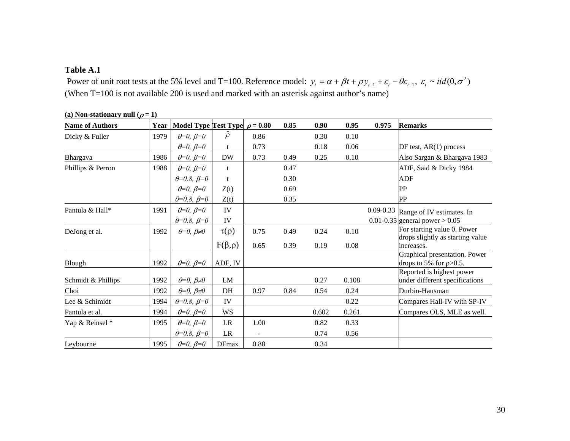### **Table A.1**

Power of unit root tests at the 5% level and T=100. Reference model:  $y_t = \alpha + \beta t + \rho y_{t-1} + \varepsilon_t - \theta \varepsilon_{t-1}, \ \varepsilon_t \sim \text{iid}(0, \sigma^2)$ (When T=100 is not available 200 is used and marked with an asterisk against author's name)

| <b>Name of Authors</b> | Year | Model Type Test Type $\rho = 0.80$ |                 |      | 0.85 | 0.90  | 0.95  | 0.975         | <b>Remarks</b>                                              |
|------------------------|------|------------------------------------|-----------------|------|------|-------|-------|---------------|-------------------------------------------------------------|
| Dicky & Fuller         | 1979 | $\theta = 0, \ \beta = 0$          | $\hat{\rho}$    | 0.86 |      | 0.30  | 0.10  |               |                                                             |
|                        |      | $\theta = 0, \ \beta = 0$          | t               | 0.73 |      | 0.18  | 0.06  |               | DF test, $AR(1)$ process                                    |
| Bhargava               | 1986 | $\theta = 0, \ \beta = 0$          | <b>DW</b>       | 0.73 | 0.49 | 0.25  | 0.10  |               | Also Sargan & Bhargava 1983                                 |
| Phillips & Perron      | 1988 | $\theta = 0, \ \beta = 0$          | t               |      | 0.47 |       |       |               | ADF, Said & Dicky 1984                                      |
|                        |      | $\theta = 0.8, \ \beta = 0$        | t               |      | 0.30 |       |       |               | <b>ADF</b>                                                  |
|                        |      | $\theta = 0, \ \beta = 0$          | Z(t)            |      | 0.69 |       |       |               | PP                                                          |
|                        |      | $\theta = 0.8, \ \beta = 0$        | Z(t)            |      | 0.35 |       |       |               | PP                                                          |
| Pantula & Hall*        | 1991 | $\theta = 0, \ \beta = 0$          | IV              |      |      |       |       | $0.09 - 0.33$ | Range of IV estimates. In                                   |
|                        |      | $\theta = 0.8, \beta = 0$          | IV              |      |      |       |       |               | 0.01-0.35 general power $> 0.05$                            |
| DeJong et al.          | 1992 | $\theta = 0, \beta \neq 0$         | $\tau(\rho)$    | 0.75 | 0.49 | 0.24  | 0.10  |               | For starting value 0. Power                                 |
|                        |      |                                    | $F(\beta,\rho)$ | 0.65 | 0.39 | 0.19  | 0.08  |               | drops slightly as starting value<br>increases.              |
|                        |      |                                    |                 |      |      |       |       |               | Graphical presentation. Power                               |
| Blough                 | 1992 | $\theta = 0, \ \beta = 0$          | ADF, IV         |      |      |       |       |               | drops to 5% for $p > 0.5$ .                                 |
| Schmidt & Phillips     | 1992 | $\theta = 0, \beta \neq 0$         | LM              |      |      | 0.27  | 0.108 |               | Reported is highest power<br>under different specifications |
| Choi                   | 1992 | $\theta = 0, \, \beta \neq 0$      | DH              | 0.97 | 0.84 | 0.54  | 0.24  |               | Durbin-Hausman                                              |
| Lee & Schimidt         | 1994 | $\theta = 0.8, \beta = 0$          | IV              |      |      |       | 0.22  |               | Compares Hall-IV with SP-IV                                 |
| Pantula et al.         | 1994 | $\theta = 0, \ \beta = 0$          | WS              |      |      | 0.602 | 0.261 |               | Compares OLS, MLE as well.                                  |
| Yap & Reinsel *        | 1995 | $\theta = 0, \ \beta = 0$          | LR              | 1.00 |      | 0.82  | 0.33  |               |                                                             |
|                        |      | $\theta = 0.8, \beta = 0$          | $\rm LR$        |      |      | 0.74  | 0.56  |               |                                                             |
| Leybourne              | 1995 | $\theta = 0, \ \beta = 0$          | <b>DFmax</b>    | 0.88 |      | 0.34  |       |               |                                                             |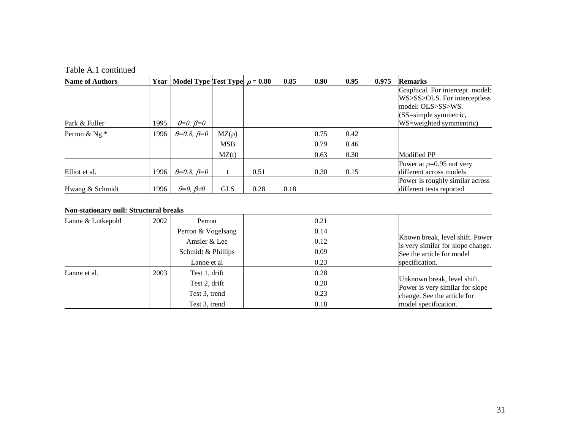| <b>Name of Authors</b> | Year | Model Type Test Type $\rho = 0.80$ |            |      | 0.85 | 0.90 | 0.95 | 0.975 | <b>Remarks</b>                  |
|------------------------|------|------------------------------------|------------|------|------|------|------|-------|---------------------------------|
|                        |      |                                    |            |      |      |      |      |       | Graphical. For intercept model: |
|                        |      |                                    |            |      |      |      |      |       | WS>SS>OLS. For interceptless    |
|                        |      |                                    |            |      |      |      |      |       | model: OLS>SS>WS.               |
|                        |      |                                    |            |      |      |      |      |       | (SS=simple symmetric,           |
| Park & Fuller          | 1995 | $\theta = 0, \ \beta = 0$          |            |      |      |      |      |       | WS=weighted symmentric)         |
| Perron & Ng $*$        | 1996 | $\theta = 0.8, \beta = 0$          | $MZ(\rho)$ |      |      | 0.75 | 0.42 |       |                                 |
|                        |      |                                    | <b>MSB</b> |      |      | 0.79 | 0.46 |       |                                 |
|                        |      |                                    | MZ(t)      |      |      | 0.63 | 0.30 |       | Modified PP                     |
|                        |      |                                    |            |      |      |      |      |       | Power at $p=0.95$ not very      |
| Elliot et al.          | 1996 | $\theta = 0.8$ , $\beta = 0$       | t          | 0.51 |      | 0.30 | 0.15 |       | different across models         |
|                        |      |                                    |            |      |      |      |      |       | Power is roughly similar across |
| Hwang & Schmidt        | 1996 | $\theta = 0, \beta \neq 0$         | <b>GLS</b> | 0.28 | 0.18 |      |      |       | different tests reported        |

#### **Non-stationary null: Structural breaks**

| Lanne & Lutkepohl | 2002 | Perron             | 0.21 |                                                                                                   |  |  |
|-------------------|------|--------------------|------|---------------------------------------------------------------------------------------------------|--|--|
|                   |      | Perron & Vogelsang | 0.14 |                                                                                                   |  |  |
|                   |      | Amsler & Lee       | 0.12 | Known break, level shift. Power<br>is very similar for slope change.<br>See the article for model |  |  |
|                   |      | Schmidt & Phillips | 0.09 |                                                                                                   |  |  |
|                   |      | Lanne et al        | 0.23 | specification.                                                                                    |  |  |
| Lanne et al.      | 2003 | Test 1, drift      | 0.28 |                                                                                                   |  |  |
|                   |      | Test 2, drift      | 0.20 | Unknown break, level shift.<br>Power is very similar for slope                                    |  |  |
|                   |      | Test 3, trend      | 0.23 | change. See the article for                                                                       |  |  |
|                   |      | Test 3, trend      | 0.18 | model specification.                                                                              |  |  |